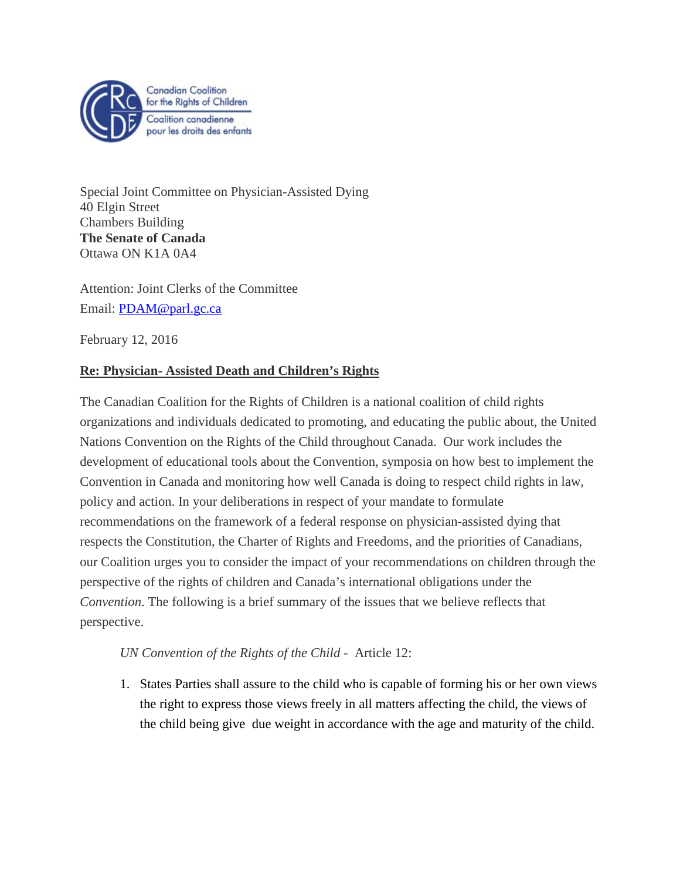

Special Joint Committee on Physician-Assisted Dying 40 Elgin Street Chambers Building **The Senate of Canada** Ottawa ON K1A 0A4

Attention: Joint Clerks of the Committee Email: **PDAM@parl.gc.ca** 

February 12, 2016

## **Re: Physician- Assisted Death and Children's Rights**

The Canadian Coalition for the Rights of Children is a national coalition of child rights organizations and individuals dedicated to promoting, and educating the public about, the United Nations Convention on the Rights of the Child throughout Canada. Our work includes the development of educational tools about the Convention, symposia on how best to implement the Convention in Canada and monitoring how well Canada is doing to respect child rights in law, policy and action. In your deliberations in respect of your mandate to formulate recommendations on the framework of a federal response on physician-assisted dying that respects the Constitution, the Charter of Rights and Freedoms, and the priorities of Canadians, our Coalition urges you to consider the impact of your recommendations on children through the perspective of the rights of children and Canada's international obligations under the *Convention*. The following is a brief summary of the issues that we believe reflects that perspective.

*UN Convention of the Rights of the Child* - Article 12:

1. States Parties shall assure to the child who is capable of forming his or her own views the right to express those views freely in all matters affecting the child, the views of the child being give due weight in accordance with the age and maturity of the child.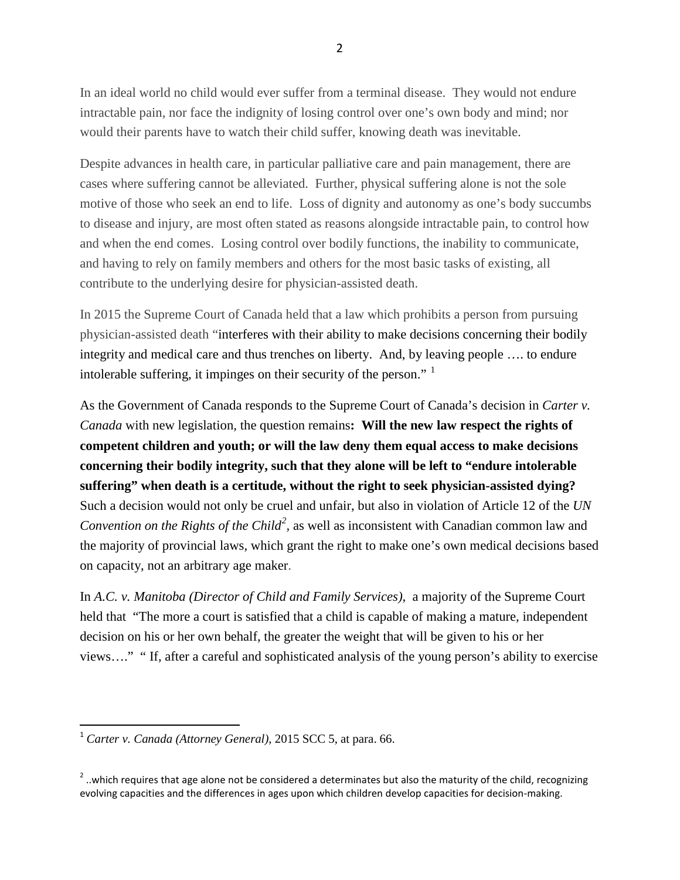In an ideal world no child would ever suffer from a terminal disease. They would not endure intractable pain, nor face the indignity of losing control over one's own body and mind; nor would their parents have to watch their child suffer, knowing death was inevitable.

Despite advances in health care, in particular palliative care and pain management, there are cases where suffering cannot be alleviated. Further, physical suffering alone is not the sole motive of those who seek an end to life. Loss of dignity and autonomy as one's body succumbs to disease and injury, are most often stated as reasons alongside intractable pain, to control how and when the end comes. Losing control over bodily functions, the inability to communicate, and having to rely on family members and others for the most basic tasks of existing, all contribute to the underlying desire for physician-assisted death.

In 2015 the Supreme Court of Canada held that a law which prohibits a person from pursuing physician-assisted death "interferes with their ability to make decisions concerning their bodily integrity and medical care and thus trenches on liberty. And, by leaving people …. to endure intolerable suffering, it impinges on their security of the person."<sup>[1](#page-1-0)</sup>

As the Government of Canada responds to the Supreme Court of Canada's decision in *Carter v. Canada* with new legislation*,* the question remains**: Will the new law respect the rights of competent children and youth; or will the law deny them equal access to make decisions concerning their bodily integrity, such that they alone will be left to "endure intolerable suffering" when death is a certitude, without the right to seek physician-assisted dying?** Such a decision would not only be cruel and unfair, but also in violation of Article 12 of the *UN Convention on the Rights of the Child<sup>[2](#page-1-1)</sup>*, as well as inconsistent with Canadian common law and the majority of provincial laws, which grant the right to make one's own medical decisions based on capacity, not an arbitrary age maker.

In *A.C. v. Manitoba (Director of Child and Family Services)*, a majority of the Supreme Court held that "The more a court is satisfied that a child is capable of making a mature, independent decision on his or her own behalf, the greater the weight that will be given to his or her views…." " If, after a careful and sophisticated analysis of the young person's ability to exercise

<span id="page-1-0"></span> <sup>1</sup> *Carter v. Canada (Attorney General)*, 2015 SCC 5, at para. 66.

<span id="page-1-1"></span> $2$ ..which requires that age alone not be considered a determinates but also the maturity of the child, recognizing evolving capacities and the differences in ages upon which children develop capacities for decision-making.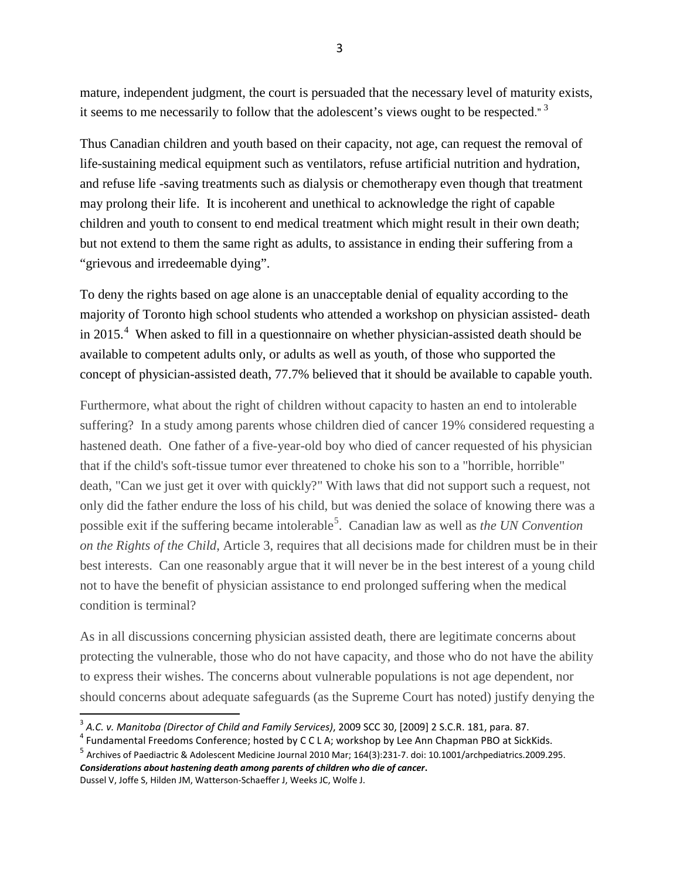mature, independent judgment, the court is persuaded that the necessary level of maturity exists, it seems to me necessarily to follow that the adolescent's views ought to be respected."<sup>[3](#page-2-0)</sup>

Thus Canadian children and youth based on their capacity, not age, can request the removal of life-sustaining medical equipment such as ventilators, refuse artificial nutrition and hydration, and refuse life -saving treatments such as dialysis or chemotherapy even though that treatment may prolong their life. It is incoherent and unethical to acknowledge the right of capable children and youth to consent to end medical treatment which might result in their own death; but not extend to them the same right as adults, to assistance in ending their suffering from a "grievous and irredeemable dying".

To deny the rights based on age alone is an unacceptable denial of equality according to the majority of Toronto high school students who attended a workshop on physician assisted- death in 2015.<sup>[4](#page-2-1)</sup> When asked to fill in a questionnaire on whether physician-assisted death should be available to competent adults only, or adults as well as youth, of those who supported the concept of physician-assisted death, 77.7% believed that it should be available to capable youth.

Furthermore, what about the right of children without capacity to hasten an end to intolerable suffering? In a study among parents whose children died of cancer 19% considered requesting a hastened death. One father of a five-year-old boy who died of cancer requested of his physician that if the child's soft-tissue tumor ever threatened to choke his son to a "horrible, horrible" death, "Can we just get it over with quickly?" With laws that did not support such a request, not only did the father endure the loss of his child, but was denied the solace of knowing there was a possible exit if the suffering became intolerable<sup>[5](#page-2-2)</sup>. Canadian law as well as *the UN Convention on the Rights of the Child*, Article 3, requires that all decisions made for children must be in their best interests. Can one reasonably argue that it will never be in the best interest of a young child not to have the benefit of physician assistance to end prolonged suffering when the medical condition is terminal?

As in all discussions concerning physician assisted death, there are legitimate concerns about protecting the vulnerable, those who do not have capacity, and those who do not have the ability to express their wishes. The concerns about vulnerable populations is not age dependent, nor should concerns about adequate safeguards (as the Supreme Court has noted) justify denying the

<span id="page-2-2"></span><sup>5</sup> Archives of Paediactric & Adolescent Medicine Journal 2010 Mar; 164(3):231-7. doi: 10.1001/archpediatrics.2009.295. *Considerations about hastening death among parents of children who die of cancer***.** [Dussel V,](http://www.ncbi.nlm.nih.gov/pubmed/?term=Dussel%20V%5BAuthor%5D&cauthor=true&cauthor_uid=20194255) [Joffe S,](http://www.ncbi.nlm.nih.gov/pubmed/?term=Joffe%20S%5BAuthor%5D&cauthor=true&cauthor_uid=20194255) [Hilden JM,](http://www.ncbi.nlm.nih.gov/pubmed/?term=Hilden%20JM%5BAuthor%5D&cauthor=true&cauthor_uid=20194255) [Watterson-Schaeffer J,](http://www.ncbi.nlm.nih.gov/pubmed/?term=Watterson-Schaeffer%20J%5BAuthor%5D&cauthor=true&cauthor_uid=20194255) [Weeks JC,](http://www.ncbi.nlm.nih.gov/pubmed/?term=Weeks%20JC%5BAuthor%5D&cauthor=true&cauthor_uid=20194255) [Wolfe J.](http://www.ncbi.nlm.nih.gov/pubmed/?term=Wolfe%20J%5BAuthor%5D&cauthor=true&cauthor_uid=20194255)

<span id="page-2-1"></span><span id="page-2-0"></span><sup>&</sup>lt;sup>3</sup> A.C. v. Manitoba (Director of Child and Family Services), 2009 SCC 30, [2009] 2 S.C.R. 181, para. 87.<br><sup>4</sup> Fundamental Freedoms Conference; hosted by C C L A; workshop by Lee Ann Chapman PBO at SickKids.